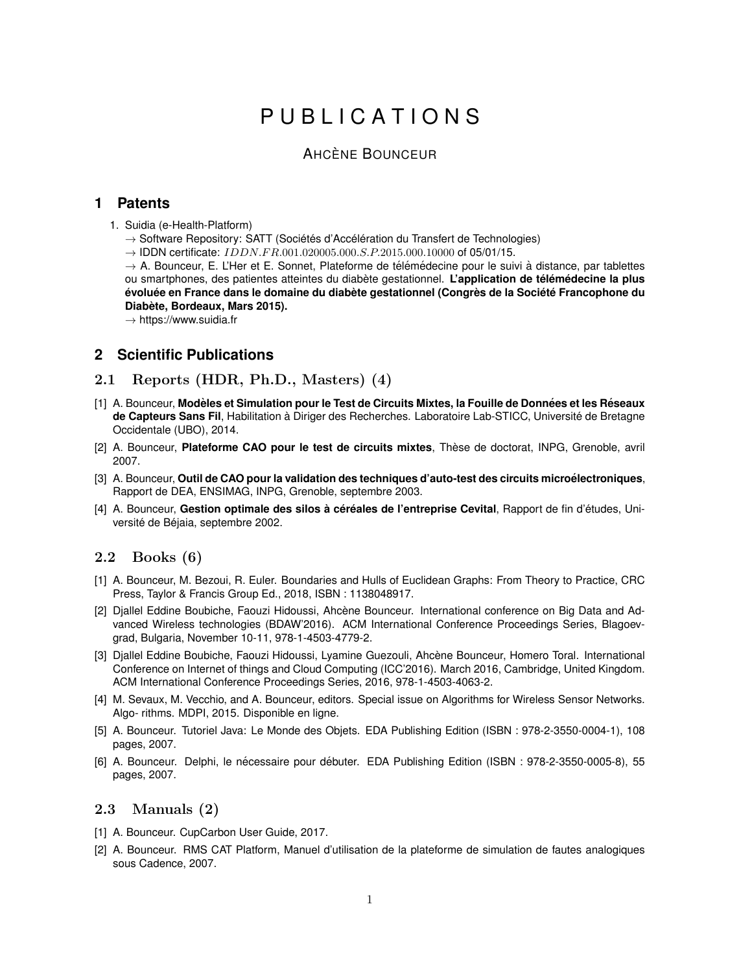# PUBLICATIONS

# **AHCÈNE BOUNCEUR**

# **1 Patents**

- 1. Suidia (e-Health-Platform)
	- $\rightarrow$  Software Repository: SATT (Sociétés d'Accélération du Transfert de Technologies)

→ IDDN certificate: *IDDN.FR.*001*.*020005*.*000*.S.P.*2015*.*000*.*10000 of 05/01/15.

 $\rightarrow$  A. Bounceur, E. L'Her et E. Sonnet, Plateforme de télémédecine pour le suivi à distance, par tablettes ou smartphones, des patientes atteintes du diabe`te gestationnel. **L'application de te´le´me´decine la plus e´volue´e en France dans le domaine du diabe`te gestationnel (Congre`s de la Socie´te´ Francophone du Diabe`te, Bordeaux, Mars 2015).**

 $\rightarrow$  https://www.suidia.fr

## **2 Scientific Publications**

## 2.1 Reports (HDR, Ph.D., Masters) (4)

- [1] A. Bounceur, **Mode`les et Simulation pour le Test de Circuits Mixtes, la Fouille de Donne´es et les Re´seaux de Capteurs Sans Fil**, Habilitation a` Diriger des Recherches. Laboratoire Lab-STICC, Universite´ de Bretagne Occidentale (UBO), 2014.
- [2] A. Bounceur, **Plateforme CAO pour le test de circuits mixtes**, The`se de doctorat, INPG, Grenoble, avril 2007.
- [3] A. Bounceur, **Outil de CAO pour la validation des techniques d'auto-test des circuits microe´lectroniques**, Rapport de DEA, ENSIMAG, INPG, Grenoble, septembre 2003.
- [4] A. Bounceur, **Gestion optimale des silos a` ce´re´ales de l'entreprise Cevital**, Rapport de fin d'e´tudes, Université de Béjaia, septembre 2002.

## 2.2 Books (6)

- [1] A. Bounceur, M. Bezoui, R. Euler. Boundaries and Hulls of Euclidean Graphs: From Theory to Practice, CRC Press, Taylor & Francis Group Ed., 2018, ISBN : 1138048917.
- [2] Djallel Eddine Boubiche, Faouzi Hidoussi, Ahcène Bounceur. International conference on Big Data and Advanced Wireless technologies (BDAW'2016). ACM International Conference Proceedings Series, Blagoevgrad, Bulgaria, November 10-11, 978-1-4503-4779-2.
- [3] Djallel Eddine Boubiche, Faouzi Hidoussi, Lyamine Guezouli, Ahcène Bounceur, Homero Toral. International Conference on Internet of things and Cloud Computing (ICC'2016). March 2016, Cambridge, United Kingdom. ACM International Conference Proceedings Series, 2016, 978-1-4503-4063-2.
- [4] M. Sevaux, M. Vecchio, and A. Bounceur, editors. Special issue on Algorithms for Wireless Sensor Networks. Algo- rithms. MDPI, 2015. Disponible en ligne.
- [5] A. Bounceur. Tutoriel Java: Le Monde des Objets. EDA Publishing Edition (ISBN : 978-2-3550-0004-1), 108 pages, 2007.
- [6] A. Bounceur. Delphi, le nécessaire pour débuter. EDA Publishing Edition (ISBN : 978-2-3550-0005-8), 55 pages, 2007.

## 2.3 Manuals (2)

- [1] A. Bounceur. CupCarbon User Guide, 2017.
- [2] A. Bounceur. RMS CAT Platform, Manuel d'utilisation de la plateforme de simulation de fautes analogiques sous Cadence, 2007.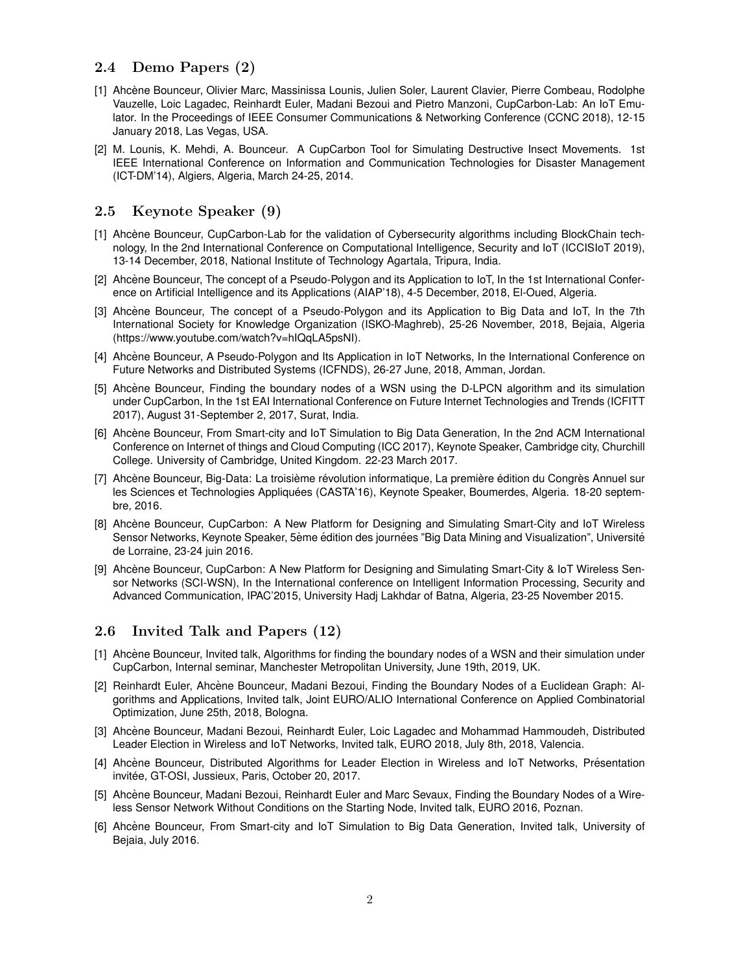## 2.4 Demo Papers (2)

- [1] Ahcène Bounceur, Olivier Marc, Massinissa Lounis, Julien Soler, Laurent Clavier, Pierre Combeau, Rodolphe Vauzelle, Loic Lagadec, Reinhardt Euler, Madani Bezoui and Pietro Manzoni, CupCarbon-Lab: An IoT Emulator. In the Proceedings of IEEE Consumer Communications & Networking Conference (CCNC 2018), 12-15 January 2018, Las Vegas, USA.
- [2] M. Lounis, K. Mehdi, A. Bounceur. A CupCarbon Tool for Simulating Destructive Insect Movements. 1st IEEE International Conference on Information and Communication Technologies for Disaster Management (ICT-DM'14), Algiers, Algeria, March 24-25, 2014.

# 2.5 Keynote Speaker (9)

- [1] Ahcène Bounceur, CupCarbon-Lab for the validation of Cybersecurity algorithms including BlockChain technology, In the 2nd International Conference on Computational Intelligence, Security and IoT (ICCISIoT 2019), 13-14 December, 2018, National Institute of Technology Agartala, Tripura, India.
- [2] Ahcène Bounceur, The concept of a Pseudo-Polygon and its Application to IoT, In the 1st International Conference on Artificial Intelligence and its Applications (AIAP'18), 4-5 December, 2018, El-Oued, Algeria.
- [3] Ahcène Bounceur, The concept of a Pseudo-Polygon and its Application to Big Data and IoT, In the 7th International Society for Knowledge Organization (ISKO-Maghreb), 25-26 November, 2018, Bejaia, Algeria (https://www.youtube.com/watch?v=hIQqLA5psNI).
- [4] Ahcène Bounceur, A Pseudo-Polygon and Its Application in IoT Networks, In the International Conference on Future Networks and Distributed Systems (ICFNDS), 26-27 June, 2018, Amman, Jordan.
- [5] Ahcène Bounceur, Finding the boundary nodes of a WSN using the D-LPCN algorithm and its simulation under CupCarbon, In the 1st EAI International Conference on Future Internet Technologies and Trends (ICFITT 2017), August 31-September 2, 2017, Surat, India.
- [6] Ahcène Bounceur, From Smart-city and IoT Simulation to Big Data Generation, In the 2nd ACM International Conference on Internet of things and Cloud Computing (ICC 2017), Keynote Speaker, Cambridge city, Churchill College. University of Cambridge, United Kingdom. 22-23 March 2017.
- [7] Ahcène Bounceur, Big-Data: La troisième révolution informatique, La première édition du Congrès Annuel sur les Sciences et Technologies Appliquées (CASTA'16), Keynote Speaker, Boumerdes, Algeria. 18-20 septembre, 2016.
- [8] Ahcène Bounceur, CupCarbon: A New Platform for Designing and Simulating Smart-City and IoT Wireless Sensor Networks, Keynote Speaker, 5ème édition des journées "Big Data Mining and Visualization", Université de Lorraine, 23-24 juin 2016.
- [9] Ahcène Bounceur, CupCarbon: A New Platform for Designing and Simulating Smart-City & IoT Wireless Sensor Networks (SCI-WSN), In the International conference on Intelligent Information Processing, Security and Advanced Communication, IPAC'2015, University Hadj Lakhdar of Batna, Algeria, 23-25 November 2015.

# 2.6 Invited Talk and Papers (12)

- [1] Ahcène Bounceur, Invited talk, Algorithms for finding the boundary nodes of a WSN and their simulation under CupCarbon, Internal seminar, Manchester Metropolitan University, June 19th, 2019, UK.
- [2] Reinhardt Euler, Ahcène Bounceur, Madani Bezoui, Finding the Boundary Nodes of a Euclidean Graph: Algorithms and Applications, Invited talk, Joint EURO/ALIO International Conference on Applied Combinatorial Optimization, June 25th, 2018, Bologna.
- [3] Ahcène Bounceur, Madani Bezoui, Reinhardt Euler, Loic Lagadec and Mohammad Hammoudeh, Distributed Leader Election in Wireless and IoT Networks, Invited talk, EURO 2018, July 8th, 2018, Valencia.
- [4] Ahcène Bounceur, Distributed Algorithms for Leader Election in Wireless and IoT Networks, Présentation invitée, GT-OSI, Jussieux, Paris, October 20, 2017.
- [5] Ahcène Bounceur, Madani Bezoui, Reinhardt Euler and Marc Sevaux, Finding the Boundary Nodes of a Wireless Sensor Network Without Conditions on the Starting Node, Invited talk, EURO 2016, Poznan.
- [6] Ahcène Bounceur, From Smart-city and IoT Simulation to Big Data Generation, Invited talk, University of Bejaia, July 2016.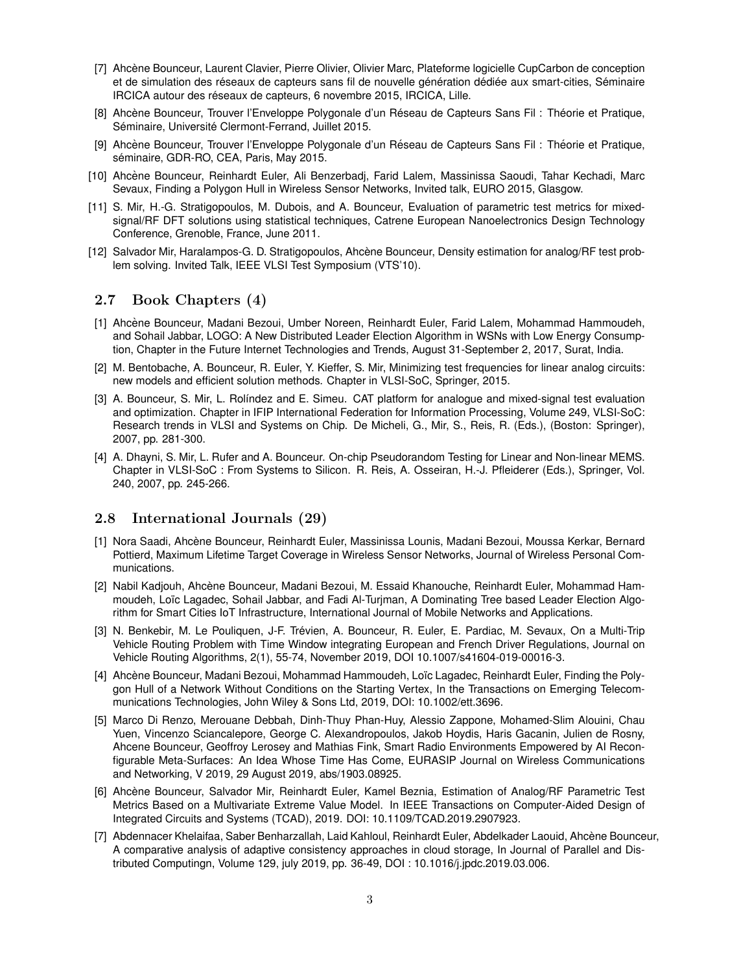- [7] Ahcène Bounceur, Laurent Clavier, Pierre Olivier, Olivier Marc, Plateforme logicielle CupCarbon de conception et de simulation des réseaux de capteurs sans fil de nouvelle génération dédiée aux smart-cities, Séminaire IRCICA autour des réseaux de capteurs, 6 novembre 2015, IRCICA, Lille.
- [8] Ahcène Bounceur, Trouver l'Enveloppe Polygonale d'un Réseau de Capteurs Sans Fil : Théorie et Pratique, Séminaire, Université Clermont-Ferrand, Juillet 2015.
- [9] Ahcène Bounceur, Trouver l'Enveloppe Polygonale d'un Réseau de Capteurs Sans Fil : Théorie et Pratique, séminaire, GDR-RO, CEA, Paris, May 2015.
- [10] Ahcène Bounceur, Reinhardt Euler, Ali Benzerbadj, Farid Lalem, Massinissa Saoudi, Tahar Kechadi, Marc Sevaux, Finding a Polygon Hull in Wireless Sensor Networks, Invited talk, EURO 2015, Glasgow.
- [11] S. Mir, H.-G. Stratigopoulos, M. Dubois, and A. Bounceur, Evaluation of parametric test metrics for mixedsignal/RF DFT solutions using statistical techniques, Catrene European Nanoelectronics Design Technology Conference, Grenoble, France, June 2011.
- [12] Salvador Mir, Haralampos-G. D. Stratigopoulos, Ahcène Bounceur, Density estimation for analog/RF test problem solving. Invited Talk, IEEE VLSI Test Symposium (VTS'10).

# 2.7 Book Chapters (4)

- [1] Ahcène Bounceur, Madani Bezoui, Umber Noreen, Reinhardt Euler, Farid Lalem, Mohammad Hammoudeh, and Sohail Jabbar, LOGO: A New Distributed Leader Election Algorithm in WSNs with Low Energy Consumption, Chapter in the Future Internet Technologies and Trends, August 31-September 2, 2017, Surat, India.
- [2] M. Bentobache, A. Bounceur, R. Euler, Y. Kieffer, S. Mir, Minimizing test frequencies for linear analog circuits: new models and efficient solution methods. Chapter in VLSI-SoC, Springer, 2015.
- [3] A. Bounceur, S. Mir, L. Rolíndez and E. Simeu. CAT platform for analogue and mixed-signal test evaluation and optimization. Chapter in IFIP International Federation for Information Processing, Volume 249, VLSI-SoC: Research trends in VLSI and Systems on Chip. De Micheli, G., Mir, S., Reis, R. (Eds.), (Boston: Springer), 2007, pp. 281-300.
- [4] A. Dhayni, S. Mir, L. Rufer and A. Bounceur. On-chip Pseudorandom Testing for Linear and Non-linear MEMS. Chapter in VLSI-SoC : From Systems to Silicon. R. Reis, A. Osseiran, H.-J. Pfleiderer (Eds.), Springer, Vol. 240, 2007, pp. 245-266.

#### 2.8 International Journals (29)

- [1] Nora Saadi, Ahcène Bounceur, Reinhardt Euler, Massinissa Lounis, Madani Bezoui, Moussa Kerkar, Bernard Pottierd, Maximum Lifetime Target Coverage in Wireless Sensor Networks, Journal of Wireless Personal Communications.
- [2] Nabil Kadjouh, Ahcène Bounceur, Madani Bezoui, M. Essaid Khanouche, Reinhardt Euler, Mohammad Hammoudeh, Loïc Lagadec, Sohail Jabbar, and Fadi Al-Turjman, A Dominating Tree based Leader Election Algorithm for Smart Cities IoT Infrastructure, International Journal of Mobile Networks and Applications.
- [3] N. Benkebir, M. Le Pouliquen, J-F. Trévien, A. Bounceur, R. Euler, E. Pardiac, M. Sevaux, On a Multi-Trip Vehicle Routing Problem with Time Window integrating European and French Driver Regulations, Journal on Vehicle Routing Algorithms, 2(1), 55-74, November 2019, DOI 10.1007/s41604-019-00016-3.
- [4] Ahcène Bounceur, Madani Bezoui, Mohammad Hammoudeh, Loïc Lagadec, Reinhardt Euler, Finding the Polygon Hull of a Network Without Conditions on the Starting Vertex, In the Transactions on Emerging Telecommunications Technologies, John Wiley & Sons Ltd, 2019, DOI: 10.1002/ett.3696.
- [5] Marco Di Renzo, Merouane Debbah, Dinh-Thuy Phan-Huy, Alessio Zappone, Mohamed-Slim Alouini, Chau Yuen, Vincenzo Sciancalepore, George C. Alexandropoulos, Jakob Hoydis, Haris Gacanin, Julien de Rosny, Ahcene Bounceur, Geoffroy Lerosey and Mathias Fink, Smart Radio Environments Empowered by AI Reconfigurable Meta-Surfaces: An Idea Whose Time Has Come, EURASIP Journal on Wireless Communications and Networking, V 2019, 29 August 2019, abs/1903.08925.
- [6] Ahcène Bounceur, Salvador Mir, Reinhardt Euler, Kamel Beznia, Estimation of Analog/RF Parametric Test Metrics Based on a Multivariate Extreme Value Model. In IEEE Transactions on Computer-Aided Design of Integrated Circuits and Systems (TCAD), 2019. DOI: 10.1109/TCAD.2019.2907923.
- [7] Abdennacer Khelaifaa, Saber Benharzallah, Laid Kahloul, Reinhardt Euler, Abdelkader Laouid, Ahcène Bounceur, A comparative analysis of adaptive consistency approaches in cloud storage, In Journal of Parallel and Distributed Computingn, Volume 129, july 2019, pp. 36-49, DOI : 10.1016/j.jpdc.2019.03.006.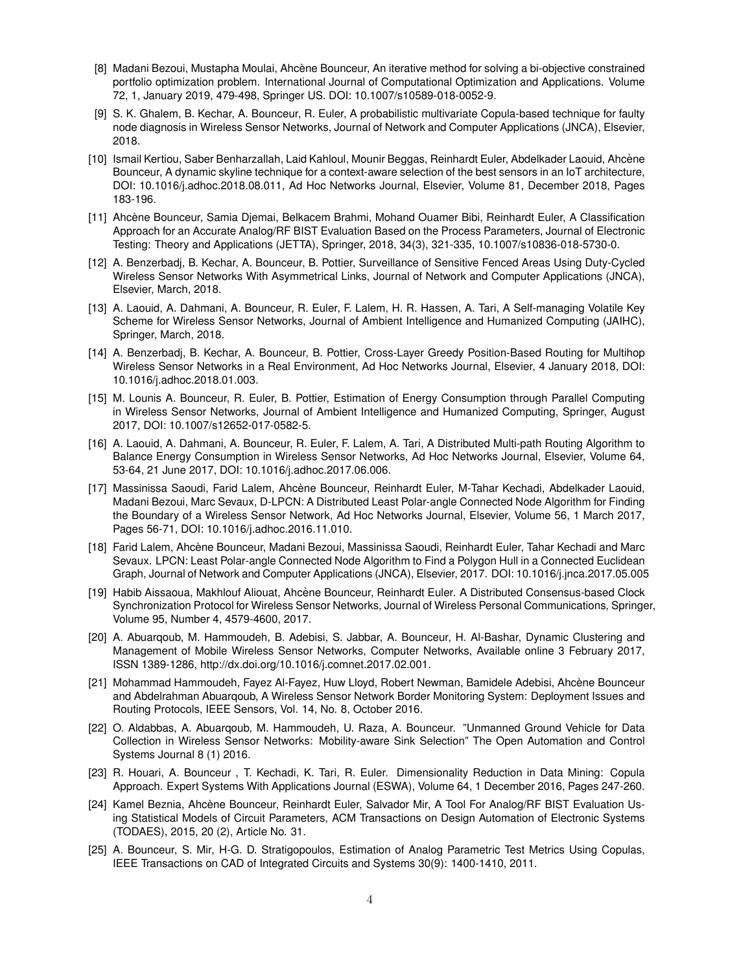- [8] Madani Bezoui, Mustapha Moulai, Ahcène Bounceur, An iterative method for solving a bi-objective constrained portfolio optimization problem. International Journal of Computational Optimization and Applications. Volume 72, 1, January 2019, 479-498, Springer US. DOI: 10.1007/s10589-018-0052-9.
- [9] S. K. Ghalem, B. Kechar, A. Bounceur, R. Euler, A probabilistic multivariate Copula-based technique for faulty node diagnosis in Wireless Sensor Networks, Journal of Network and Computer Applications (JNCA), Elsevier, 2018.
- [10] Ismail Kertiou, Saber Benharzallah, Laid Kahloul, Mounir Beggas, Reinhardt Euler, Abdelkader Laouid, Ahcène Bounceur, A dynamic skyline technique for a context-aware selection of the best sensors in an IoT architecture, DOI: 10.1016/j.adhoc.2018.08.011, Ad Hoc Networks Journal, Elsevier, Volume 81, December 2018, Pages 183-196.
- [11] Ahcène Bounceur, Samia Djemai, Belkacem Brahmi, Mohand Ouamer Bibi, Reinhardt Euler, A Classification Approach for an Accurate Analog/RF BIST Evaluation Based on the Process Parameters, Journal of Electronic Testing: Theory and Applications (JETTA), Springer, 2018, 34(3), 321-335, 10.1007/s10836-018-5730-0.
- [12] A. Benzerbadj, B. Kechar, A. Bounceur, B. Pottier, Surveillance of Sensitive Fenced Areas Using Duty-Cycled Wireless Sensor Networks With Asymmetrical Links, Journal of Network and Computer Applications (JNCA), Elsevier, March, 2018.
- [13] A. Laouid, A. Dahmani, A. Bounceur, R. Euler, F. Lalem, H. R. Hassen, A. Tari, A Self-managing Volatile Key Scheme for Wireless Sensor Networks, Journal of Ambient Intelligence and Humanized Computing (JAIHC), Springer, March, 2018.
- [14] A. Benzerbadj, B. Kechar, A. Bounceur, B. Pottier, Cross-Layer Greedy Position-Based Routing for Multihop Wireless Sensor Networks in a Real Environment, Ad Hoc Networks Journal, Elsevier, 4 January 2018, DOI: 10.1016/j.adhoc.2018.01.003.
- [15] M. Lounis A. Bounceur, R. Euler, B. Pottier, Estimation of Energy Consumption through Parallel Computing in Wireless Sensor Networks, Journal of Ambient Intelligence and Humanized Computing, Springer, August 2017, DOI: 10.1007/s12652-017-0582-5.
- [16] A. Laouid, A. Dahmani, A. Bounceur, R. Euler, F. Lalem, A. Tari, A Distributed Multi-path Routing Algorithm to Balance Energy Consumption in Wireless Sensor Networks, Ad Hoc Networks Journal, Elsevier, Volume 64, 53-64, 21 June 2017, DOI: 10.1016/j.adhoc.2017.06.006.
- [17] Massinissa Saoudi, Farid Lalem, Ahcène Bounceur, Reinhardt Euler, M-Tahar Kechadi, Abdelkader Laouid, Madani Bezoui, Marc Sevaux, D-LPCN: A Distributed Least Polar-angle Connected Node Algorithm for Finding the Boundary of a Wireless Sensor Network, Ad Hoc Networks Journal, Elsevier, Volume 56, 1 March 2017, Pages 56-71, DOI: 10.1016/j.adhoc.2016.11.010.
- [18] Farid Lalem, Ahcène Bounceur, Madani Bezoui, Massinissa Saoudi, Reinhardt Euler, Tahar Kechadi and Marc Sevaux. LPCN: Least Polar-angle Connected Node Algorithm to Find a Polygon Hull in a Connected Euclidean Graph, Journal of Network and Computer Applications (JNCA), Elsevier, 2017. DOI: 10.1016/j.jnca.2017.05.005
- [19] Habib Aissaoua, Makhlouf Aliouat, Ahcène Bounceur, Reinhardt Euler. A Distributed Consensus-based Clock Synchronization Protocol for Wireless Sensor Networks, Journal of Wireless Personal Communications, Springer, Volume 95, Number 4, 4579-4600, 2017.
- [20] A. Abuarqoub, M. Hammoudeh, B. Adebisi, S. Jabbar, A. Bounceur, H. Al-Bashar, Dynamic Clustering and Management of Mobile Wireless Sensor Networks, Computer Networks, Available online 3 February 2017, ISSN 1389-1286, http://dx.doi.org/10.1016/j.comnet.2017.02.001.
- [21] Mohammad Hammoudeh, Fayez Al-Fayez, Huw Lloyd, Robert Newman, Bamidele Adebisi, Ahcène Bounceur and Abdelrahman Abuarqoub, A Wireless Sensor Network Border Monitoring System: Deployment Issues and Routing Protocols, IEEE Sensors, Vol. 14, No. 8, October 2016.
- [22] O. Aldabbas, A. Abuarqoub, M. Hammoudeh, U. Raza, A. Bounceur. "Unmanned Ground Vehicle for Data Collection in Wireless Sensor Networks: Mobility-aware Sink Selection" The Open Automation and Control Systems Journal 8 (1) 2016.
- [23] R. Houari, A. Bounceur , T. Kechadi, K. Tari, R. Euler. Dimensionality Reduction in Data Mining: Copula Approach. Expert Systems With Applications Journal (ESWA), Volume 64, 1 December 2016, Pages 247-260.
- [24] Kamel Beznia, Ahcène Bounceur, Reinhardt Euler, Salvador Mir, A Tool For Analog/RF BIST Evaluation Using Statistical Models of Circuit Parameters, ACM Transactions on Design Automation of Electronic Systems (TODAES), 2015, 20 (2), Article No. 31.
- [25] A. Bounceur, S. Mir, H-G. D. Stratigopoulos, Estimation of Analog Parametric Test Metrics Using Copulas, IEEE Transactions on CAD of Integrated Circuits and Systems 30(9): 1400-1410, 2011.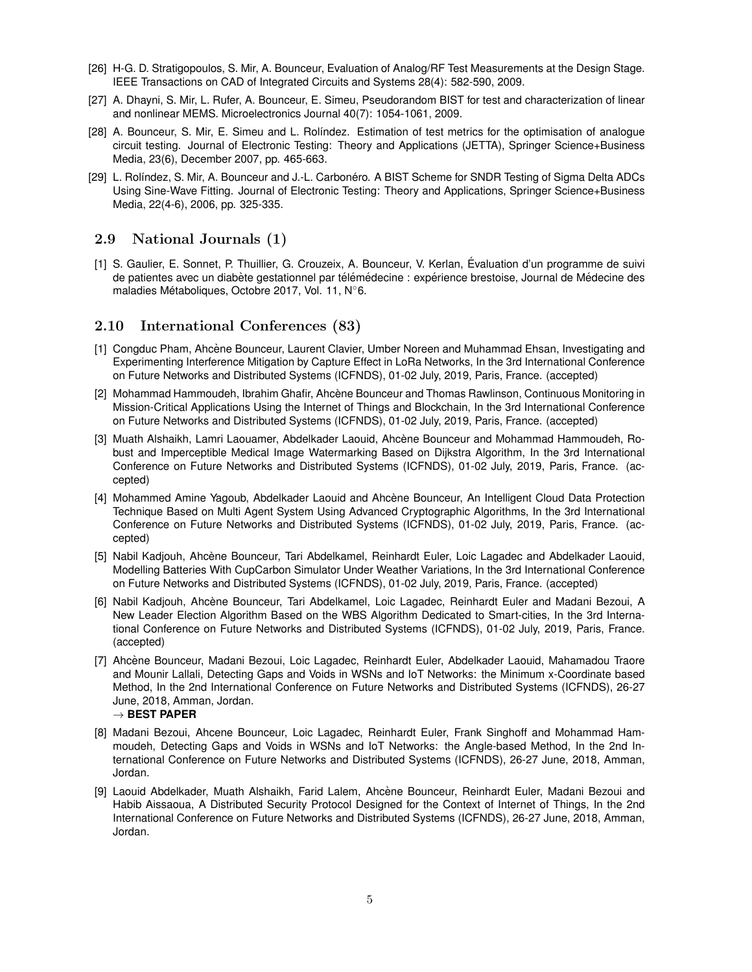- [26] H-G. D. Stratigopoulos, S. Mir, A. Bounceur, Evaluation of Analog/RF Test Measurements at the Design Stage. IEEE Transactions on CAD of Integrated Circuits and Systems 28(4): 582-590, 2009.
- [27] A. Dhayni, S. Mir, L. Rufer, A. Bounceur, E. Simeu, Pseudorandom BIST for test and characterization of linear and nonlinear MEMS. Microelectronics Journal 40(7): 1054-1061, 2009.
- [28] A. Bounceur, S. Mir, E. Simeu and L. Rolíndez. Estimation of test metrics for the optimisation of analogue circuit testing. Journal of Electronic Testing: Theory and Applications (JETTA), Springer Science+Business Media, 23(6), December 2007, pp. 465-663.
- [29] L. Rolíndez, S. Mir, A. Bounceur and J.-L. Carbonéro. A BIST Scheme for SNDR Testing of Sigma Delta ADCs Using Sine-Wave Fitting. Journal of Electronic Testing: Theory and Applications, Springer Science+Business Media, 22(4-6), 2006, pp. 325-335.

### 2.9 National Journals (1)

[1] S. Gaulier, E. Sonnet, P. Thuillier, G. Crouzeix, A. Bounceur, V. Kerlan, Évaluation d'un programme de suivi de patientes avec un diabète gestationnel par télémédecine : expérience brestoise, Journal de Médecine des maladies Métaboliques, Octobre 2017, Vol. 11, N°6.

#### 2.10 International Conferences (83)

- [1] Congduc Pham, Ahcène Bounceur, Laurent Clavier, Umber Noreen and Muhammad Ehsan, Investigating and Experimenting Interference Mitigation by Capture Effect in LoRa Networks, In the 3rd International Conference on Future Networks and Distributed Systems (ICFNDS), 01-02 July, 2019, Paris, France. (accepted)
- [2] Mohammad Hammoudeh, Ibrahim Ghafir, Ahcène Bounceur and Thomas Rawlinson, Continuous Monitoring in Mission-Critical Applications Using the Internet of Things and Blockchain, In the 3rd International Conference on Future Networks and Distributed Systems (ICFNDS), 01-02 July, 2019, Paris, France. (accepted)
- [3] Muath Alshaikh, Lamri Laouamer, Abdelkader Laouid, Ahcène Bounceur and Mohammad Hammoudeh, Robust and Imperceptible Medical Image Watermarking Based on Dijkstra Algorithm, In the 3rd International Conference on Future Networks and Distributed Systems (ICFNDS), 01-02 July, 2019, Paris, France. (accepted)
- [4] Mohammed Amine Yagoub, Abdelkader Laouid and Ahcène Bounceur, An Intelligent Cloud Data Protection Technique Based on Multi Agent System Using Advanced Cryptographic Algorithms, In the 3rd International Conference on Future Networks and Distributed Systems (ICFNDS), 01-02 July, 2019, Paris, France. (accepted)
- [5] Nabil Kadjouh, Ahcène Bounceur, Tari Abdelkamel, Reinhardt Euler, Loic Lagadec and Abdelkader Laouid, Modelling Batteries With CupCarbon Simulator Under Weather Variations, In the 3rd International Conference on Future Networks and Distributed Systems (ICFNDS), 01-02 July, 2019, Paris, France. (accepted)
- [6] Nabil Kadjouh, Ahcène Bounceur, Tari Abdelkamel, Loic Lagadec, Reinhardt Euler and Madani Bezoui, A New Leader Election Algorithm Based on the WBS Algorithm Dedicated to Smart-cities, In the 3rd International Conference on Future Networks and Distributed Systems (ICFNDS), 01-02 July, 2019, Paris, France. (accepted)
- [7] Ahcène Bounceur, Madani Bezoui, Loic Lagadec, Reinhardt Euler, Abdelkader Laouid, Mahamadou Traore and Mounir Lallali, Detecting Gaps and Voids in WSNs and IoT Networks: the Minimum x-Coordinate based Method, In the 2nd International Conference on Future Networks and Distributed Systems (ICFNDS), 26-27 June, 2018, Amman, Jordan. → **BEST PAPER**
- [8] Madani Bezoui, Ahcene Bounceur, Loic Lagadec, Reinhardt Euler, Frank Singhoff and Mohammad Hammoudeh, Detecting Gaps and Voids in WSNs and IoT Networks: the Angle-based Method, In the 2nd International Conference on Future Networks and Distributed Systems (ICFNDS), 26-27 June, 2018, Amman, Jordan.
- [9] Laouid Abdelkader, Muath Alshaikh, Farid Lalem, Ahcène Bounceur, Reinhardt Euler, Madani Bezoui and Habib Aissaoua, A Distributed Security Protocol Designed for the Context of Internet of Things, In the 2nd International Conference on Future Networks and Distributed Systems (ICFNDS), 26-27 June, 2018, Amman, Jordan.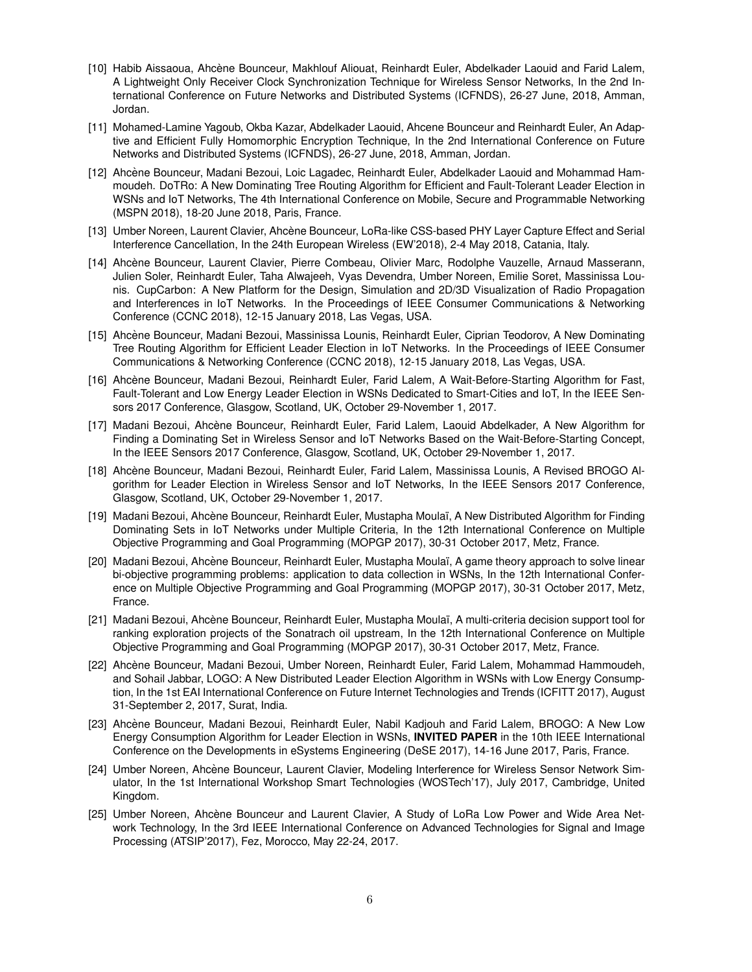- [10] Habib Aissaoua, Ahcène Bounceur, Makhlouf Aliouat, Reinhardt Euler, Abdelkader Laouid and Farid Lalem, A Lightweight Only Receiver Clock Synchronization Technique for Wireless Sensor Networks, In the 2nd International Conference on Future Networks and Distributed Systems (ICFNDS), 26-27 June, 2018, Amman, Jordan.
- [11] Mohamed-Lamine Yagoub, Okba Kazar, Abdelkader Laouid, Ahcene Bounceur and Reinhardt Euler, An Adaptive and Efficient Fully Homomorphic Encryption Technique, In the 2nd International Conference on Future Networks and Distributed Systems (ICFNDS), 26-27 June, 2018, Amman, Jordan.
- [12] Ahcène Bounceur, Madani Bezoui, Loic Lagadec, Reinhardt Euler, Abdelkader Laouid and Mohammad Hammoudeh. DoTRo: A New Dominating Tree Routing Algorithm for Efficient and Fault-Tolerant Leader Election in WSNs and IoT Networks, The 4th International Conference on Mobile, Secure and Programmable Networking (MSPN 2018), 18-20 June 2018, Paris, France.
- [13] Umber Noreen, Laurent Clavier, Ahcène Bounceur, LoRa-like CSS-based PHY Layer Capture Effect and Serial Interference Cancellation, In the 24th European Wireless (EW'2018), 2-4 May 2018, Catania, Italy.
- [14] Ahcène Bounceur, Laurent Clavier, Pierre Combeau, Olivier Marc, Rodolphe Vauzelle, Arnaud Masserann, Julien Soler, Reinhardt Euler, Taha Alwajeeh, Vyas Devendra, Umber Noreen, Emilie Soret, Massinissa Lounis. CupCarbon: A New Platform for the Design, Simulation and 2D/3D Visualization of Radio Propagation and Interferences in IoT Networks. In the Proceedings of IEEE Consumer Communications & Networking Conference (CCNC 2018), 12-15 January 2018, Las Vegas, USA.
- [15] Ahcène Bounceur, Madani Bezoui, Massinissa Lounis, Reinhardt Euler, Ciprian Teodorov, A New Dominating Tree Routing Algorithm for Efficient Leader Election in IoT Networks. In the Proceedings of IEEE Consumer Communications & Networking Conference (CCNC 2018), 12-15 January 2018, Las Vegas, USA.
- [16] Ahcène Bounceur, Madani Bezoui, Reinhardt Euler, Farid Lalem, A Wait-Before-Starting Algorithm for Fast, Fault-Tolerant and Low Energy Leader Election in WSNs Dedicated to Smart-Cities and IoT, In the IEEE Sensors 2017 Conference, Glasgow, Scotland, UK, October 29-November 1, 2017.
- [17] Madani Bezoui, Ahcène Bounceur, Reinhardt Euler, Farid Lalem, Laouid Abdelkader, A New Algorithm for Finding a Dominating Set in Wireless Sensor and IoT Networks Based on the Wait-Before-Starting Concept, In the IEEE Sensors 2017 Conference, Glasgow, Scotland, UK, October 29-November 1, 2017.
- [18] Ahcène Bounceur, Madani Bezoui, Reinhardt Euler, Farid Lalem, Massinissa Lounis, A Revised BROGO Algorithm for Leader Election in Wireless Sensor and IoT Networks, In the IEEE Sensors 2017 Conference, Glasgow, Scotland, UK, October 29-November 1, 2017.
- [19] Madani Bezoui, Ahcène Bounceur, Reinhardt Euler, Mustapha Moulaï, A New Distributed Algorithm for Finding Dominating Sets in IoT Networks under Multiple Criteria, In the 12th International Conference on Multiple Objective Programming and Goal Programming (MOPGP 2017), 30-31 October 2017, Metz, France.
- [20] Madani Bezoui, Ahcène Bounceur, Reinhardt Euler, Mustapha Moulaï, A game theory approach to solve linear bi-objective programming problems: application to data collection in WSNs, In the 12th International Conference on Multiple Objective Programming and Goal Programming (MOPGP 2017), 30-31 October 2017, Metz, France.
- [21] Madani Bezoui, Ahcène Bounceur, Reinhardt Euler, Mustapha Moulaï, A multi-criteria decision support tool for ranking exploration projects of the Sonatrach oil upstream, In the 12th International Conference on Multiple Objective Programming and Goal Programming (MOPGP 2017), 30-31 October 2017, Metz, France.
- [22] Ahcène Bounceur, Madani Bezoui, Umber Noreen, Reinhardt Euler, Farid Lalem, Mohammad Hammoudeh, and Sohail Jabbar, LOGO: A New Distributed Leader Election Algorithm in WSNs with Low Energy Consumption, In the 1st EAI International Conference on Future Internet Technologies and Trends (ICFITT 2017), August 31-September 2, 2017, Surat, India.
- [23] Ahcène Bounceur, Madani Bezoui, Reinhardt Euler, Nabil Kadjouh and Farid Lalem, BROGO: A New Low Energy Consumption Algorithm for Leader Election in WSNs, **INVITED PAPER** in the 10th IEEE International Conference on the Developments in eSystems Engineering (DeSE 2017), 14-16 June 2017, Paris, France.
- [24] Umber Noreen, Ahcène Bounceur, Laurent Clavier, Modeling Interference for Wireless Sensor Network Simulator, In the 1st International Workshop Smart Technologies (WOSTech'17), July 2017, Cambridge, United Kingdom.
- [25] Umber Noreen, Ahcène Bounceur and Laurent Clavier, A Study of LoRa Low Power and Wide Area Network Technology, In the 3rd IEEE International Conference on Advanced Technologies for Signal and Image Processing (ATSIP'2017), Fez, Morocco, May 22-24, 2017.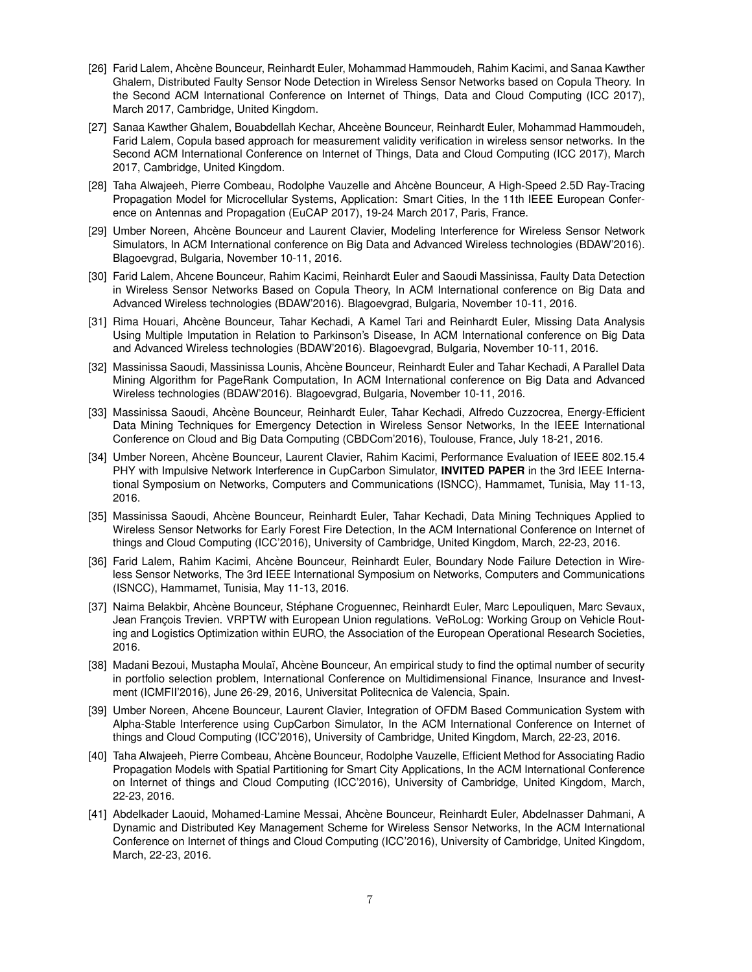- [26] Farid Lalem, Ahcène Bounceur, Reinhardt Euler, Mohammad Hammoudeh, Rahim Kacimi, and Sanaa Kawther Ghalem, Distributed Faulty Sensor Node Detection in Wireless Sensor Networks based on Copula Theory. In the Second ACM International Conference on Internet of Things, Data and Cloud Computing (ICC 2017), March 2017, Cambridge, United Kingdom.
- [27] Sanaa Kawther Ghalem, Bouabdellah Kechar, Ahceène Bounceur, Reinhardt Euler, Mohammad Hammoudeh, Farid Lalem, Copula based approach for measurement validity verification in wireless sensor networks. In the Second ACM International Conference on Internet of Things, Data and Cloud Computing (ICC 2017), March 2017, Cambridge, United Kingdom.
- [28] Taha Alwajeeh, Pierre Combeau, Rodolphe Vauzelle and Ahcène Bounceur, A High-Speed 2.5D Ray-Tracing Propagation Model for Microcellular Systems, Application: Smart Cities, In the 11th IEEE European Conference on Antennas and Propagation (EuCAP 2017), 19-24 March 2017, Paris, France.
- [29] Umber Noreen, Ahcène Bounceur and Laurent Clavier, Modeling Interference for Wireless Sensor Network Simulators, In ACM International conference on Big Data and Advanced Wireless technologies (BDAW'2016). Blagoevgrad, Bulgaria, November 10-11, 2016.
- [30] Farid Lalem, Ahcene Bounceur, Rahim Kacimi, Reinhardt Euler and Saoudi Massinissa, Faulty Data Detection in Wireless Sensor Networks Based on Copula Theory, In ACM International conference on Big Data and Advanced Wireless technologies (BDAW'2016). Blagoevgrad, Bulgaria, November 10-11, 2016.
- [31] Rima Houari, Ahcène Bounceur, Tahar Kechadi, A Kamel Tari and Reinhardt Euler, Missing Data Analysis Using Multiple Imputation in Relation to Parkinson's Disease, In ACM International conference on Big Data and Advanced Wireless technologies (BDAW'2016). Blagoevgrad, Bulgaria, November 10-11, 2016.
- [32] Massinissa Saoudi, Massinissa Lounis, Ahcène Bounceur, Reinhardt Euler and Tahar Kechadi, A Parallel Data Mining Algorithm for PageRank Computation, In ACM International conference on Big Data and Advanced Wireless technologies (BDAW'2016). Blagoevgrad, Bulgaria, November 10-11, 2016.
- [33] Massinissa Saoudi, Ahcène Bounceur, Reinhardt Euler, Tahar Kechadi, Alfredo Cuzzocrea, Energy-Efficient Data Mining Techniques for Emergency Detection in Wireless Sensor Networks, In the IEEE International Conference on Cloud and Big Data Computing (CBDCom'2016), Toulouse, France, July 18-21, 2016.
- [34] Umber Noreen, Ahcène Bounceur, Laurent Clavier, Rahim Kacimi, Performance Evaluation of IEEE 802.15.4 PHY with Impulsive Network Interference in CupCarbon Simulator, **INVITED PAPER** in the 3rd IEEE International Symposium on Networks, Computers and Communications (ISNCC), Hammamet, Tunisia, May 11-13, 2016.
- [35] Massinissa Saoudi, Ahcène Bounceur, Reinhardt Euler, Tahar Kechadi, Data Mining Techniques Applied to Wireless Sensor Networks for Early Forest Fire Detection, In the ACM International Conference on Internet of things and Cloud Computing (ICC'2016), University of Cambridge, United Kingdom, March, 22-23, 2016.
- [36] Farid Lalem, Rahim Kacimi, Ahcène Bounceur, Reinhardt Euler, Boundary Node Failure Detection in Wireless Sensor Networks, The 3rd IEEE International Symposium on Networks, Computers and Communications (ISNCC), Hammamet, Tunisia, May 11-13, 2016.
- [37] Naima Belakbir, Ahcène Bounceur, Stéphane Croguennec, Reinhardt Euler, Marc Lepouliquen, Marc Sevaux, Jean François Trevien. VRPTW with European Union regulations. VeRoLog: Working Group on Vehicle Routing and Logistics Optimization within EURO, the Association of the European Operational Research Societies, 2016.
- [38] Madani Bezoui, Mustapha Moulaï, Ahcène Bounceur, An empirical study to find the optimal number of security in portfolio selection problem, International Conference on Multidimensional Finance, Insurance and Investment (ICMFII'2016), June 26-29, 2016, Universitat Politecnica de Valencia, Spain.
- [39] Umber Noreen, Ahcene Bounceur, Laurent Clavier, Integration of OFDM Based Communication System with Alpha-Stable Interference using CupCarbon Simulator, In the ACM International Conference on Internet of things and Cloud Computing (ICC'2016), University of Cambridge, United Kingdom, March, 22-23, 2016.
- [40] Taha Alwajeeh, Pierre Combeau, Ahcène Bounceur, Rodolphe Vauzelle, Efficient Method for Associating Radio Propagation Models with Spatial Partitioning for Smart City Applications, In the ACM International Conference on Internet of things and Cloud Computing (ICC'2016), University of Cambridge, United Kingdom, March, 22-23, 2016.
- [41] Abdelkader Laouid, Mohamed-Lamine Messai, Ahcène Bounceur, Reinhardt Euler, Abdelnasser Dahmani, A Dynamic and Distributed Key Management Scheme for Wireless Sensor Networks, In the ACM International Conference on Internet of things and Cloud Computing (ICC'2016), University of Cambridge, United Kingdom, March, 22-23, 2016.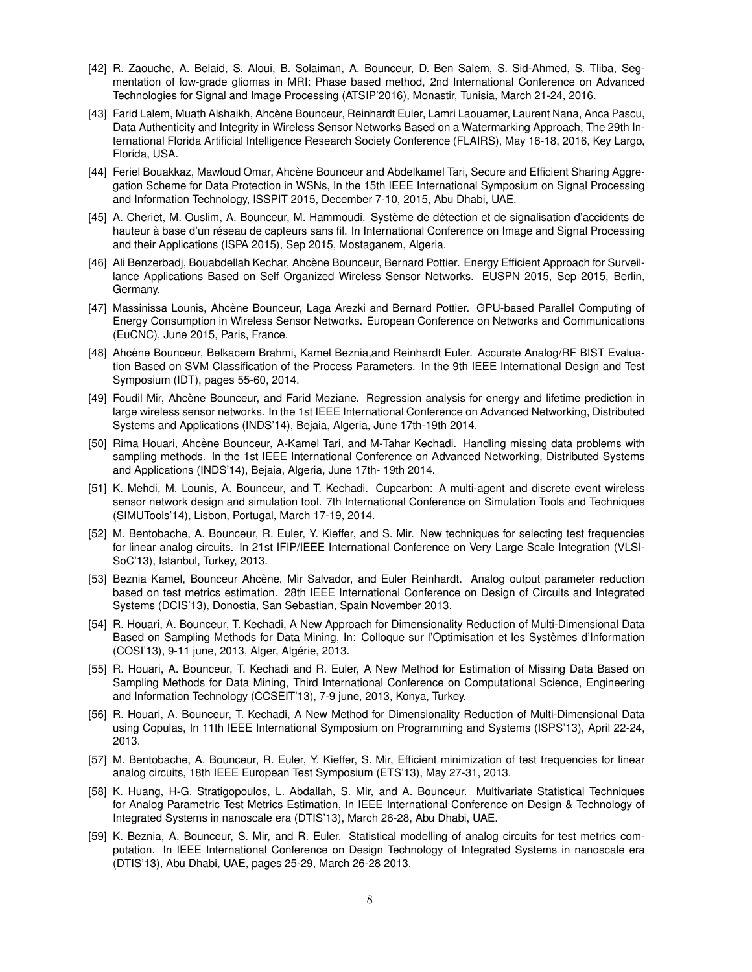- [42] R. Zaouche, A. Belaid, S. Aloui, B. Solaiman, A. Bounceur, D. Ben Salem, S. Sid-Ahmed, S. Tliba, Segmentation of low-grade gliomas in MRI: Phase based method, 2nd International Conference on Advanced Technologies for Signal and Image Processing (ATSIP'2016), Monastir, Tunisia, March 21-24, 2016.
- [43] Farid Lalem, Muath Alshaikh, Ahcène Bounceur, Reinhardt Euler, Lamri Laouamer, Laurent Nana, Anca Pascu, Data Authenticity and Integrity in Wireless Sensor Networks Based on a Watermarking Approach, The 29th International Florida Artificial Intelligence Research Society Conference (FLAIRS), May 16-18, 2016, Key Largo, Florida, USA.
- [44] Feriel Bouakkaz, Mawloud Omar, Ahcène Bounceur and Abdelkamel Tari, Secure and Efficient Sharing Aggregation Scheme for Data Protection in WSNs, In the 15th IEEE International Symposium on Signal Processing and Information Technology, ISSPIT 2015, December 7-10, 2015, Abu Dhabi, UAE.
- [45] A. Cheriet, M. Ouslim, A. Bounceur, M. Hammoudi. Système de détection et de signalisation d'accidents de hauteur à base d'un réseau de capteurs sans fil. In International Conference on Image and Signal Processing and their Applications (ISPA 2015), Sep 2015, Mostaganem, Algeria.
- [46] Ali Benzerbadj, Bouabdellah Kechar, Ahcène Bounceur, Bernard Pottier. Energy Efficient Approach for Surveillance Applications Based on Self Organized Wireless Sensor Networks. EUSPN 2015, Sep 2015, Berlin, Germany.
- [47] Massinissa Lounis, Ahcène Bounceur, Laga Arezki and Bernard Pottier. GPU-based Parallel Computing of Energy Consumption in Wireless Sensor Networks. European Conference on Networks and Communications (EuCNC), June 2015, Paris, France.
- [48] Ahcène Bounceur, Belkacem Brahmi, Kamel Beznia, and Reinhardt Euler. Accurate Analog/RF BIST Evaluation Based on SVM Classification of the Process Parameters. In the 9th IEEE International Design and Test Symposium (IDT), pages 55-60, 2014.
- [49] Foudil Mir, Ahcène Bounceur, and Farid Meziane. Regression analysis for energy and lifetime prediction in large wireless sensor networks. In the 1st IEEE International Conference on Advanced Networking, Distributed Systems and Applications (INDS'14), Bejaia, Algeria, June 17th-19th 2014.
- [50] Rima Houari, Ahcène Bounceur, A-Kamel Tari, and M-Tahar Kechadi. Handling missing data problems with sampling methods. In the 1st IEEE International Conference on Advanced Networking, Distributed Systems and Applications (INDS'14), Bejaia, Algeria, June 17th- 19th 2014.
- [51] K. Mehdi, M. Lounis, A. Bounceur, and T. Kechadi. Cupcarbon: A multi-agent and discrete event wireless sensor network design and simulation tool. 7th International Conference on Simulation Tools and Techniques (SIMUTools'14), Lisbon, Portugal, March 17-19, 2014.
- [52] M. Bentobache, A. Bounceur, R. Euler, Y. Kieffer, and S. Mir. New techniques for selecting test frequencies for linear analog circuits. In 21st IFIP/IEEE International Conference on Very Large Scale Integration (VLSI-SoC'13), Istanbul, Turkey, 2013.
- [53] Beznia Kamel, Bounceur Ahcène, Mir Salvador, and Euler Reinhardt. Analog output parameter reduction based on test metrics estimation. 28th IEEE International Conference on Design of Circuits and Integrated Systems (DCIS'13), Donostia, San Sebastian, Spain November 2013.
- [54] R. Houari, A. Bounceur, T. Kechadi, A New Approach for Dimensionality Reduction of Multi-Dimensional Data Based on Sampling Methods for Data Mining, In: Colloque sur l'Optimisation et les Systèmes d'Information (COSI'13), 9-11 june, 2013, Alger, Algérie, 2013.
- [55] R. Houari, A. Bounceur, T. Kechadi and R. Euler, A New Method for Estimation of Missing Data Based on Sampling Methods for Data Mining, Third International Conference on Computational Science, Engineering and Information Technology (CCSEIT'13), 7-9 june, 2013, Konya, Turkey.
- [56] R. Houari, A. Bounceur, T. Kechadi, A New Method for Dimensionality Reduction of Multi-Dimensional Data using Copulas, In 11th IEEE International Symposium on Programming and Systems (ISPS'13), April 22-24, 2013.
- [57] M. Bentobache, A. Bounceur, R. Euler, Y. Kieffer, S. Mir, Efficient minimization of test frequencies for linear analog circuits, 18th IEEE European Test Symposium (ETS'13), May 27-31, 2013.
- [58] K. Huang, H-G. Stratigopoulos, L. Abdallah, S. Mir, and A. Bounceur. Multivariate Statistical Techniques for Analog Parametric Test Metrics Estimation, In IEEE International Conference on Design & Technology of Integrated Systems in nanoscale era (DTIS'13), March 26-28, Abu Dhabi, UAE.
- [59] K. Beznia, A. Bounceur, S. Mir, and R. Euler. Statistical modelling of analog circuits for test metrics computation. In IEEE International Conference on Design Technology of Integrated Systems in nanoscale era (DTIS'13), Abu Dhabi, UAE, pages 25-29, March 26-28 2013.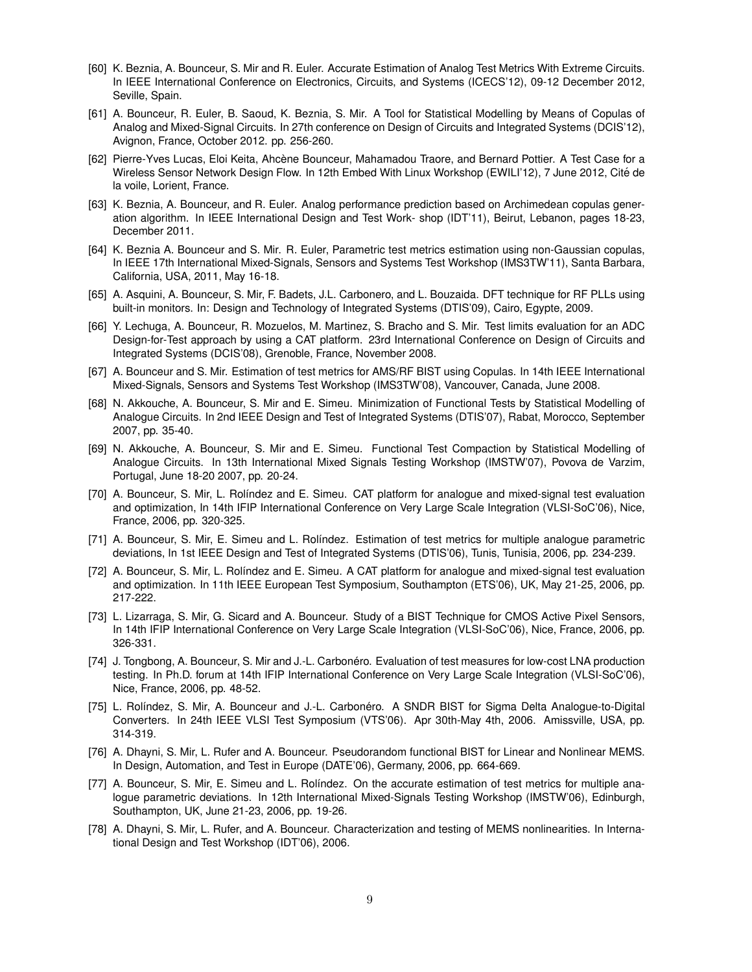- [60] K. Beznia, A. Bounceur, S. Mir and R. Euler. Accurate Estimation of Analog Test Metrics With Extreme Circuits. In IEEE International Conference on Electronics, Circuits, and Systems (ICECS'12), 09-12 December 2012, Seville, Spain.
- [61] A. Bounceur, R. Euler, B. Saoud, K. Beznia, S. Mir. A Tool for Statistical Modelling by Means of Copulas of Analog and Mixed-Signal Circuits. In 27th conference on Design of Circuits and Integrated Systems (DCIS'12), Avignon, France, October 2012. pp. 256-260.
- [62] Pierre-Yves Lucas, Eloi Keita, Ahcène Bounceur, Mahamadou Traore, and Bernard Pottier. A Test Case for a Wireless Sensor Network Design Flow. In 12th Embed With Linux Workshop (EWILI'12), 7 June 2012, Cite´ de la voile, Lorient, France.
- [63] K. Beznia, A. Bounceur, and R. Euler. Analog performance prediction based on Archimedean copulas generation algorithm. In IEEE International Design and Test Work- shop (IDT'11), Beirut, Lebanon, pages 18-23, December 2011.
- [64] K. Beznia A. Bounceur and S. Mir. R. Euler, Parametric test metrics estimation using non-Gaussian copulas, In IEEE 17th International Mixed-Signals, Sensors and Systems Test Workshop (IMS3TW'11), Santa Barbara, California, USA, 2011, May 16-18.
- [65] A. Asquini, A. Bounceur, S. Mir, F. Badets, J.L. Carbonero, and L. Bouzaida. DFT technique for RF PLLs using built-in monitors. In: Design and Technology of Integrated Systems (DTIS'09), Cairo, Egypte, 2009.
- [66] Y. Lechuga, A. Bounceur, R. Mozuelos, M. Martinez, S. Bracho and S. Mir. Test limits evaluation for an ADC Design-for-Test approach by using a CAT platform. 23rd International Conference on Design of Circuits and Integrated Systems (DCIS'08), Grenoble, France, November 2008.
- [67] A. Bounceur and S. Mir. Estimation of test metrics for AMS/RF BIST using Copulas. In 14th IEEE International Mixed-Signals, Sensors and Systems Test Workshop (IMS3TW'08), Vancouver, Canada, June 2008.
- [68] N. Akkouche, A. Bounceur, S. Mir and E. Simeu. Minimization of Functional Tests by Statistical Modelling of Analogue Circuits. In 2nd IEEE Design and Test of Integrated Systems (DTIS'07), Rabat, Morocco, September 2007, pp. 35-40.
- [69] N. Akkouche, A. Bounceur, S. Mir and E. Simeu. Functional Test Compaction by Statistical Modelling of Analogue Circuits. In 13th International Mixed Signals Testing Workshop (IMSTW'07), Povova de Varzim, Portugal, June 18-20 2007, pp. 20-24.
- [70] A. Bounceur, S. Mir, L. Rolíndez and E. Simeu. CAT platform for analogue and mixed-signal test evaluation and optimization, In 14th IFIP International Conference on Very Large Scale Integration (VLSI-SoC'06), Nice, France, 2006, pp. 320-325.
- [71] A. Bounceur, S. Mir, E. Simeu and L. Rol´ındez. Estimation of test metrics for multiple analogue parametric deviations, In 1st IEEE Design and Test of Integrated Systems (DTIS'06), Tunis, Tunisia, 2006, pp. 234-239.
- [72] A. Bounceur, S. Mir, L. Rolíndez and E. Simeu. A CAT platform for analogue and mixed-signal test evaluation and optimization. In 11th IEEE European Test Symposium, Southampton (ETS'06), UK, May 21-25, 2006, pp. 217-222.
- [73] L. Lizarraga, S. Mir, G. Sicard and A. Bounceur. Study of a BIST Technique for CMOS Active Pixel Sensors, In 14th IFIP International Conference on Very Large Scale Integration (VLSI-SoC'06), Nice, France, 2006, pp. 326-331.
- [74] J. Tongbong, A. Bounceur, S. Mir and J.-L. Carbonéro. Evaluation of test measures for low-cost LNA production testing. In Ph.D. forum at 14th IFIP International Conference on Very Large Scale Integration (VLSI-SoC'06), Nice, France, 2006, pp. 48-52.
- [75] L. Rolíndez, S. Mir, A. Bounceur and J.-L. Carbonéro. A SNDR BIST for Sigma Delta Analogue-to-Digital Converters. In 24th IEEE VLSI Test Symposium (VTS'06). Apr 30th-May 4th, 2006. Amissville, USA, pp. 314-319.
- [76] A. Dhayni, S. Mir, L. Rufer and A. Bounceur. Pseudorandom functional BIST for Linear and Nonlinear MEMS. In Design, Automation, and Test in Europe (DATE'06), Germany, 2006, pp. 664-669.
- [77] A. Bounceur, S. Mir, E. Simeu and L. Rolíndez. On the accurate estimation of test metrics for multiple analogue parametric deviations. In 12th International Mixed-Signals Testing Workshop (IMSTW'06), Edinburgh, Southampton, UK, June 21-23, 2006, pp. 19-26.
- [78] A. Dhayni, S. Mir, L. Rufer, and A. Bounceur. Characterization and testing of MEMS nonlinearities. In International Design and Test Workshop (IDT'06), 2006.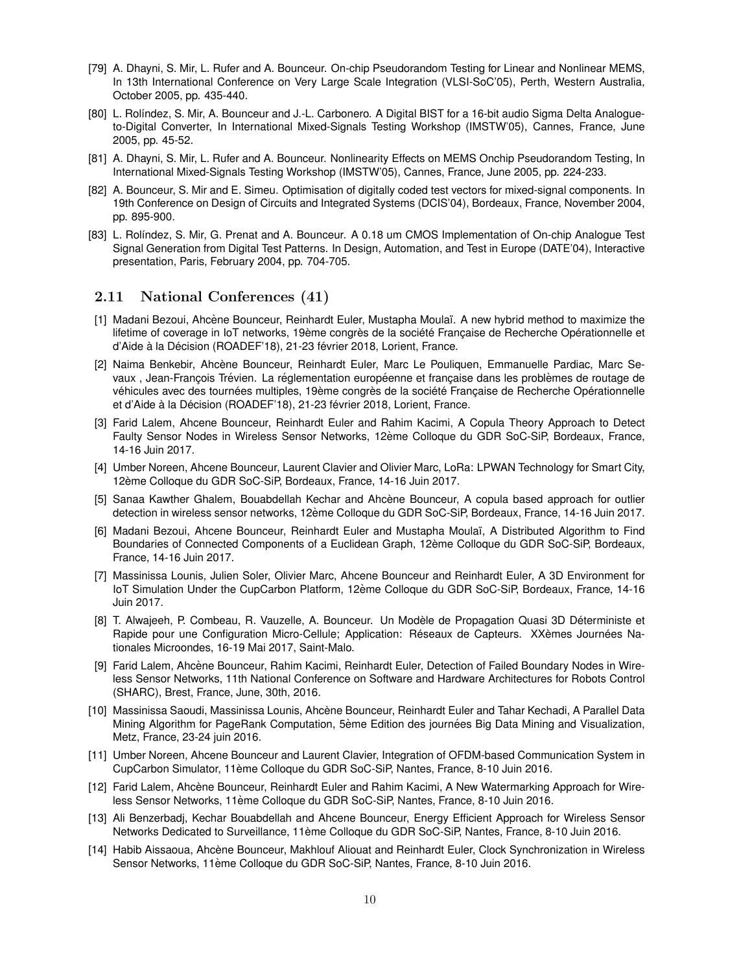- [79] A. Dhayni, S. Mir, L. Rufer and A. Bounceur. On-chip Pseudorandom Testing for Linear and Nonlinear MEMS, In 13th International Conference on Very Large Scale Integration (VLSI-SoC'05), Perth, Western Australia, October 2005, pp. 435-440.
- [80] L. Rolíndez, S. Mir, A. Bounceur and J.-L. Carbonero. A Digital BIST for a 16-bit audio Sigma Delta Analogueto-Digital Converter, In International Mixed-Signals Testing Workshop (IMSTW'05), Cannes, France, June 2005, pp. 45-52.
- [81] A. Dhayni, S. Mir, L. Rufer and A. Bounceur. Nonlinearity Effects on MEMS Onchip Pseudorandom Testing, In International Mixed-Signals Testing Workshop (IMSTW'05), Cannes, France, June 2005, pp. 224-233.
- [82] A. Bounceur, S. Mir and E. Simeu. Optimisation of digitally coded test vectors for mixed-signal components. In 19th Conference on Design of Circuits and Integrated Systems (DCIS'04), Bordeaux, France, November 2004, pp. 895-900.
- [83] L. Rolíndez, S. Mir, G. Prenat and A. Bounceur. A 0.18 um CMOS Implementation of On-chip Analogue Test Signal Generation from Digital Test Patterns. In Design, Automation, and Test in Europe (DATE'04), Interactive presentation, Paris, February 2004, pp. 704-705.

## 2.11 National Conferences (41)

- [1] Madani Bezoui, Ahcène Bounceur, Reinhardt Euler, Mustapha Moulaï. A new hybrid method to maximize the lifetime of coverage in IoT networks, 19ème congrès de la société Française de Recherche Opérationnelle et d'Aide à la Décision (ROADEF'18), 21-23 février 2018, Lorient, France.
- [2] Naima Benkebir, Ahcène Bounceur, Reinhardt Euler, Marc Le Pouliquen, Emmanuelle Pardiac, Marc Sevaux, Jean-François Trévien. La réglementation européenne et française dans les problèmes de routage de véhicules avec des tournées multiples, 19ème congrès de la société Française de Recherche Opérationnelle et d'Aide à la Décision (ROADEF'18), 21-23 février 2018, Lorient, France.
- [3] Farid Lalem, Ahcene Bounceur, Reinhardt Euler and Rahim Kacimi, A Copula Theory Approach to Detect Faulty Sensor Nodes in Wireless Sensor Networks, 12ème Colloque du GDR SoC-SiP, Bordeaux, France, 14-16 Juin 2017.
- [4] Umber Noreen, Ahcene Bounceur, Laurent Clavier and Olivier Marc, LoRa: LPWAN Technology for Smart City, 12ème Colloque du GDR SoC-SiP, Bordeaux, France, 14-16 Juin 2017.
- [5] Sanaa Kawther Ghalem, Bouabdellah Kechar and Ahcène Bounceur, A copula based approach for outlier detection in wireless sensor networks, 12ème Colloque du GDR SoC-SiP, Bordeaux, France, 14-16 Juin 2017.
- [6] Madani Bezoui, Ahcene Bounceur, Reinhardt Euler and Mustapha Moula¨ı, A Distributed Algorithm to Find Boundaries of Connected Components of a Euclidean Graph, 12ème Colloque du GDR SoC-SiP, Bordeaux, France, 14-16 Juin 2017.
- [7] Massinissa Lounis, Julien Soler, Olivier Marc, Ahcene Bounceur and Reinhardt Euler, A 3D Environment for IoT Simulation Under the CupCarbon Platform, 12ème Colloque du GDR SoC-SiP, Bordeaux, France, 14-16 Juin 2017.
- [8] T. Alwajeeh, P. Combeau, R. Vauzelle, A. Bounceur. Un Modèle de Propagation Quasi 3D Déterministe et Rapide pour une Configuration Micro-Cellule; Application: Réseaux de Capteurs. XXèmes Journées Nationales Microondes, 16-19 Mai 2017, Saint-Malo.
- [9] Farid Lalem, Ahcène Bounceur, Rahim Kacimi, Reinhardt Euler, Detection of Failed Boundary Nodes in Wireless Sensor Networks, 11th National Conference on Software and Hardware Architectures for Robots Control (SHARC), Brest, France, June, 30th, 2016.
- [10] Massinissa Saoudi, Massinissa Lounis, Ahcène Bounceur, Reinhardt Euler and Tahar Kechadi, A Parallel Data Mining Algorithm for PageRank Computation, 5ème Edition des journées Big Data Mining and Visualization, Metz, France, 23-24 juin 2016.
- [11] Umber Noreen, Ahcene Bounceur and Laurent Clavier, Integration of OFDM-based Communication System in CupCarbon Simulator, 11ème Colloque du GDR SoC-SiP, Nantes, France, 8-10 Juin 2016.
- [12] Farid Lalem, Ahcène Bounceur, Reinhardt Euler and Rahim Kacimi, A New Watermarking Approach for Wireless Sensor Networks, 11ème Colloque du GDR SoC-SiP, Nantes, France, 8-10 Juin 2016.
- [13] Ali Benzerbadj, Kechar Bouabdellah and Ahcene Bounceur, Energy Efficient Approach for Wireless Sensor Networks Dedicated to Surveillance, 11ème Colloque du GDR SoC-SiP, Nantes, France, 8-10 Juin 2016.
- [14] Habib Aissaoua, Ahcène Bounceur, Makhlouf Aliouat and Reinhardt Euler, Clock Synchronization in Wireless Sensor Networks, 11ème Colloque du GDR SoC-SiP, Nantes, France, 8-10 Juin 2016.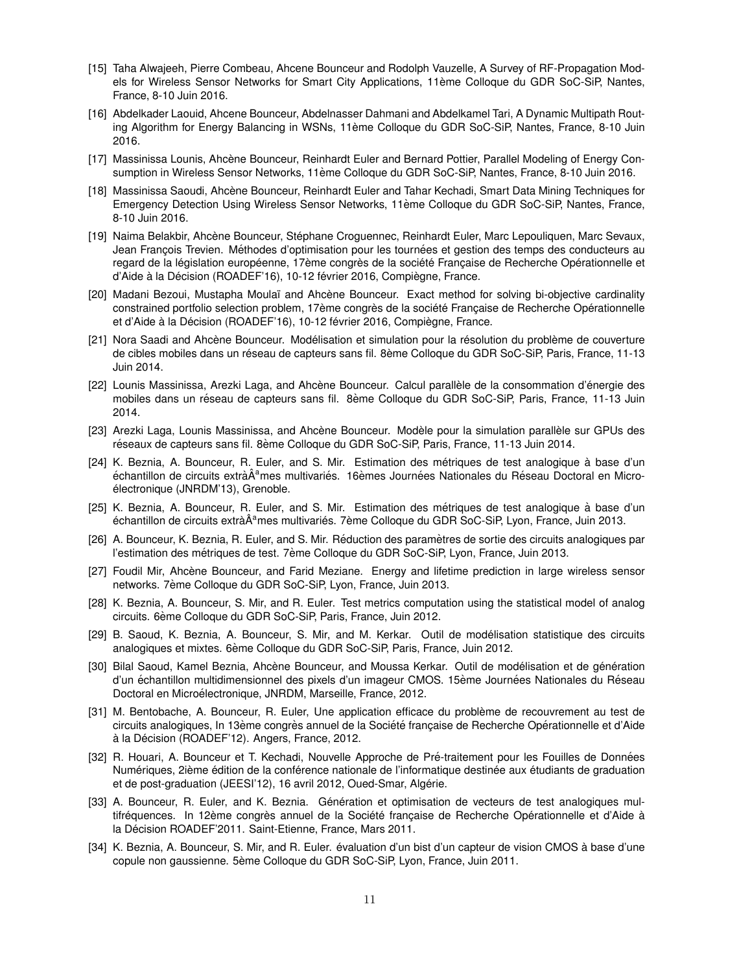- [15] Taha Alwajeeh, Pierre Combeau, Ahcene Bounceur and Rodolph Vauzelle, A Survey of RF-Propagation Models for Wireless Sensor Networks for Smart City Applications, 11ème Colloque du GDR SoC-SiP, Nantes, France, 8-10 Juin 2016.
- [16] Abdelkader Laouid, Ahcene Bounceur, Abdelnasser Dahmani and Abdelkamel Tari, A Dynamic Multipath Routing Algorithm for Energy Balancing in WSNs, 11ème Colloque du GDR SoC-SiP, Nantes, France, 8-10 Juin 2016.
- [17] Massinissa Lounis, Ahcène Bounceur, Reinhardt Euler and Bernard Pottier, Parallel Modeling of Energy Consumption in Wireless Sensor Networks, 11ème Colloque du GDR SoC-SiP, Nantes, France, 8-10 Juin 2016.
- [18] Massinissa Saoudi, Ahcène Bounceur, Reinhardt Euler and Tahar Kechadi, Smart Data Mining Techniques for Emergency Detection Using Wireless Sensor Networks, 11ème Colloque du GDR SoC-SiP, Nantes, France, 8-10 Juin 2016.
- [19] Naima Belakbir, Ahcène Bounceur, Stéphane Croguennec, Reinhardt Euler, Marc Lepouliquen, Marc Sevaux, Jean Francois Trevien. Méthodes d'optimisation pour les tournées et gestion des temps des conducteurs au regard de la législation européenne, 17ème congrès de la société Française de Recherche Opérationnelle et d'Aide à la Décision (ROADEF'16), 10-12 février 2016, Compiègne, France.
- [20] Madani Bezoui, Mustapha Moulaï and Ahcène Bounceur. Exact method for solving bi-objective cardinality constrained portfolio selection problem, 17ème congrès de la société Française de Recherche Opérationnelle et d'Aide à la Décision (ROADEF'16), 10-12 février 2016, Compiègne, France.
- [21] Nora Saadi and Ahcène Bounceur. Modélisation et simulation pour la résolution du problème de couverture de cibles mobiles dans un réseau de capteurs sans fil. 8ème Colloque du GDR SoC-SiP, Paris, France, 11-13 Juin 2014.
- [22] Lounis Massinissa, Arezki Laga, and Ahcène Bounceur. Calcul parallèle de la consommation d'énergie des mobiles dans un réseau de capteurs sans fil. 8ème Colloque du GDR SoC-SiP, Paris, France, 11-13 Juin 2014.
- [23] Arezki Laga, Lounis Massinissa, and Ahcène Bounceur. Modèle pour la simulation parallèle sur GPUs des réseaux de capteurs sans fil. 8ème Colloque du GDR SoC-SiP, Paris, France, 11-13 Juin 2014.
- [24] K. Beznia, A. Bounceur, R. Euler, and S. Mir. Estimation des métriques de test analogique à base d'un echantillon de circuits extrà $\hat{A}^{\hat{a}}$ mes multivaries. 16èmes Journe es Nationales du Re´seau Doctoral en Microélectronique (JNRDM'13), Grenoble.
- [25] K. Beznia, A. Bounceur, R. Euler, and S. Mir. Estimation des métriques de test analogique à base d'un échantillon de circuits extràÂ<sup>a</sup>mes multivariés. 7ème Colloque du GDR SoC-SiP, Lyon, France, Juin 2013.
- [26] A. Bounceur, K. Beznia, R. Euler, and S. Mir. Réduction des paramètres de sortie des circuits analogiques par l'estimation des métriques de test. 7ème Colloque du GDR SoC-SiP, Lyon, France, Juin 2013.
- [27] Foudil Mir, Ahcène Bounceur, and Farid Meziane. Energy and lifetime prediction in large wireless sensor networks. 7ème Colloque du GDR SoC-SiP, Lyon, France, Juin 2013.
- [28] K. Beznia, A. Bounceur, S. Mir, and R. Euler. Test metrics computation using the statistical model of analog circuits. 6ème Colloque du GDR SoC-SiP, Paris, France, Juin 2012.
- [29] B. Saoud, K. Beznia, A. Bounceur, S. Mir, and M. Kerkar. Outil de modélisation statistique des circuits analogiques et mixtes. 6ème Colloque du GDR SoC-SiP, Paris, France, Juin 2012.
- [30] Bilal Saoud, Kamel Beznia, Ahcène Bounceur, and Moussa Kerkar. Outil de modélisation et de génération d'un échantillon multidimensionnel des pixels d'un imageur CMOS. 15ème Journées Nationales du Réseau Doctoral en Microélectronique, JNRDM, Marseille, France, 2012.
- [31] M. Bentobache, A. Bounceur, R. Euler, Une application efficace du problème de recouvrement au test de circuits analogiques, In 13ème congrès annuel de la Société française de Recherche Opérationnelle et d'Aide à la Décision (ROADEF'12). Angers, France, 2012.
- [32] R. Houari, A. Bounceur et T. Kechadi, Nouvelle Approche de Pré-traitement pour les Fouilles de Données Numériques, 2ième édition de la conférence nationale de l'informatique destinée aux étudiants de graduation et de post-graduation (JEESI'12), 16 avril 2012, Oued-Smar, Algérie.
- [33] A. Bounceur, R. Euler, and K. Beznia. Génération et optimisation de vecteurs de test analogiques multifréquences. In 12ème congrès annuel de la Société française de Recherche Opérationnelle et d'Aide à la Décision ROADEF'2011. Saint-Etienne, France, Mars 2011.
- [34] K. Beznia, A. Bounceur, S. Mir, and R. Euler. évaluation d'un bist d'un capteur de vision CMOS à base d'une copule non gaussienne. 5e`me Colloque du GDR SoC-SiP, Lyon, France, Juin 2011.